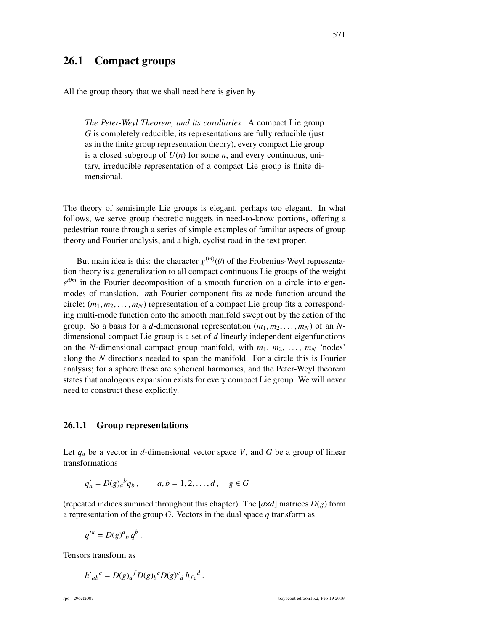# 26.1 Compact groups

All the group theory that we shall need here is given by

*The Peter-Weyl Theorem, and its corollaries:* A compact Lie group *G* is completely reducible, its representations are fully reducible (just as in the finite group representation theory), every compact Lie group is a closed subgroup of  $U(n)$  for some *n*, and every continuous, unitary, irreducible representation of a compact Lie group is finite dimensional.

The theory of semisimple Lie groups is elegant, perhaps too elegant. In what follows, we serve group theoretic nuggets in need-to-know portions, offering a pedestrian route through a series of simple examples of familiar aspects of group theory and Fourier analysis, and a high, cyclist road in the text proper.

But main idea is this: the character  $\chi^{(m)}(\theta)$  of the Frobenius-Weyl representa-<br>theory is a generalization to all compact continuous Lie groups of the weight tion theory is a generalization to all compact continuous Lie groups of the weight  $e^{i\theta m}$  in the Fourier decomposition of a smooth function on a circle into eigenmodes of translation. *m*th Fourier component fits *m* node function around the circle;  $(m_1, m_2, \ldots, m_N)$  representation of a compact Lie group fits a corresponding multi-mode function onto the smooth manifold swept out by the action of the group. So a basis for a *d*-dimensional representation  $(m_1, m_2, \ldots, m_N)$  of an *N*dimensional compact Lie group is a set of *d* linearly independent eigenfunctions on the *N*-dimensional compact group manifold, with  $m_1, m_2, \ldots, m_N$  'nodes' along the *N* directions needed to span the manifold. For a circle this is Fourier analysis; for a sphere these are spherical harmonics, and the Peter-Weyl theorem states that analogous expansion exists for every compact Lie group. We will never need to construct these explicitly.

### 26.1.1 Group representations

Let  $q_a$  be a vector in *d*-dimensional vector space *V*, and *G* be a group of linear transformations

$$
q'_a = D(g)_a{}^b q_b
$$
,  $a, b = 1, 2, ..., d$ ,  $g \in G$ 

(repeated indices summed throughout this chapter). The [*d*×*d*] matrices *D*(*g*) form a representation of the group *G*. Vectors in the dual space  $\overline{q}$  transform as

$$
q'^a = D(g)^a{}_b q^b.
$$

Tensors transform as

$$
h'_{ab}{}^c = D(g)_a{}^f D(g)_b{}^e D(g)^c{}_d h_{fe}{}^d.
$$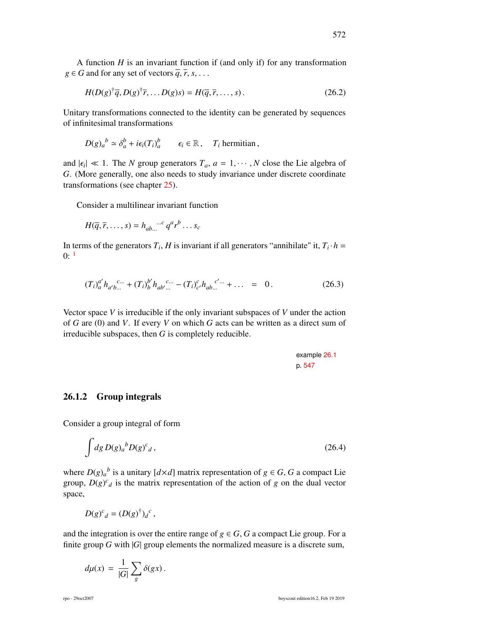A function *H* is an invariant function if (and only if) for any transformation  $g \in G$  and for any set of vectors  $\overline{q}, \overline{r}, s, \ldots$ 

$$
H(D(g)^{\dagger}\overline{q}, D(g)^{\dagger}\overline{r}, \dots D(g)s) = H(\overline{q}, \overline{r}, \dots, s).
$$
 (26.2)

Unitary transformations connected to the identity can be generated by sequences of infinitesimal transformations

$$
D(g)_a{}^b \simeq \delta_a^b + i\epsilon_i(T_i)_a^b \qquad \epsilon_i \in \mathbb{R}, \quad T_i \text{ hermitian},
$$

and  $|\epsilon_i| \ll 1$ . The *N* group generators  $T_a$ ,  $a = 1, \dots, N$  close the Lie algebra of  $G$ . (More generally one also needs to study invariance under discrete coordinate *G*. (More generally, one also needs to study invariance under discrete coordinate transformations (see chapter 25).

Consider a multilinear invariant function

$$
H(\overline{q}, \overline{r}, \dots, s) = h_{ab \dots}{}^{m} q^a r^b \dots s_c
$$

In terms of the generators  $T_i$ , *H* is invariant if all generators "annihilate" it,  $T_i \cdot h =$  $0:$ <sup>1</sup>

$$
(T_i)^{a'}_{a} h_{a'b\ldots}^{c\ldots} + (T_i)^{b'}_{b} h_{ab'\ldots}^{c\ldots} - (T_i)^{c}_{c'} h_{ab\ldots}^{c'\ldots} + \ldots = 0.
$$
 (26.3)

Vector space *V* is irreducible if the only invariant subspaces of *V* under the action of *G* are (0) and *V*. If every *V* on which *G* acts can be written as a direct sum of irreducible subspaces, then *G* is completely reducible.

example 26.1 p. 547

#### 26.1.2 Group integrals

Consider a group integral of form

$$
\int dg D(g)_a{}^b D(g)^c{}_d\,,\tag{26.4}
$$

where  $D(g)_{a}^{b}$  is a unitary  $[d \times d]$  matrix representation of  $g \in G$ , *G* a compact Lie group,  $D(g)^c_d$  is the matrix representation of the action of *g* on the dual vector space,

$$
D(g)^c{}_d = (D(g)^{\dagger})_d{}^c,
$$

and the integration is over the entire range of  $g \in G$ , *G* a compact Lie group. For a finite group *G* with |*G*| group elements the normalized measure is a discrete sum,

$$
d\mu(x) = \frac{1}{|G|} \sum_{g} \delta(gx).
$$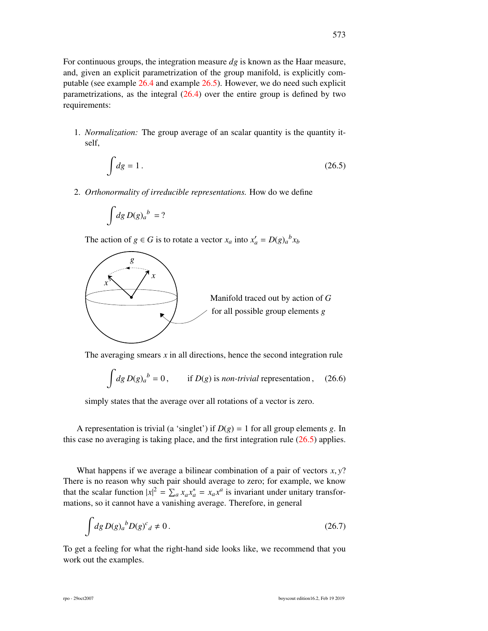For continuous groups, the integration measure *dg* is known as the Haar measure, and, given an explicit parametrization of the group manifold, is explicitly computable (see example 26.4 and example 26.5). However, we do need such explicit parametrizations, as the integral  $(26.4)$  over the entire group is defined by two requirements:

1. *Normalization:* The group average of an scalar quantity is the quantity itself,

$$
\int dg = 1. \tag{26.5}
$$

2. *Orthonormality of irreducible representations.* How do we define

$$
\int\!dg\,D(g)_a{}^b\,=?
$$

The action of  $g \in G$  is to rotate a vector  $x_a$  into  $x'_a = D(g)_a{}^b x_b$ 



The averaging smears *x* in all directions, hence the second integration rule

$$
\int dg D(g)_a{}^b = 0, \qquad \text{if } D(g) \text{ is non-trivial representation,} \qquad (26.6)
$$

simply states that the average over all rotations of a vector is zero.

A representation is trivial (a 'singlet') if  $D(g) = 1$  for all group elements g. In this case no averaging is taking place, and the first integration rule (26.5) applies.

What happens if we average a bilinear combination of a pair of vectors  $x, y$ ? There is no reason why such pair should average to zero; for example, we know that the scalar function  $|x|^2 = \sum_a x_a x_a^* = x_a x^a$  is invariant under unitary transformations, so it cannot have a vanishing average. Therefore, in general

$$
\int dg \, D(g)_a{}^b D(g)^c{}_d \neq 0. \tag{26.7}
$$

To get a feeling for what the right-hand side looks like, we recommend that you work out the examples.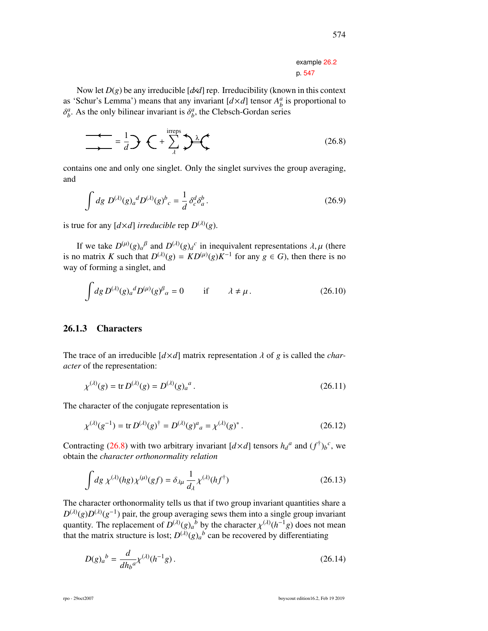#### example 26.2 p. 547

Now let *D*(*g*) be any irreducible [*d*×*d*] rep. Irreducibility (known in this context as 'Schur's Lemma') means that any invariant  $[d \times d]$  tensor  $A_b^a$  is proportional to δ  $a<sub>b</sub>$ . As the only bilinear invariant is  $\delta<sub>b</sub><sup>a</sup>$ , the Clebsch-Gordan series

$$
\frac{1}{\lambda} = \frac{1}{d} \mathbf{D} \mathbf{C} + \sum_{\lambda}^{\text{irreps}} \mathbf{D}^{\lambda} \mathbf{C}
$$
 (26.8)

contains one and only one singlet. Only the singlet survives the group averaging, and

$$
\int dg \ D^{(\lambda)}(g)_a{}^d D^{(\lambda)}(g)^b{}_c = \frac{1}{d} \delta^d_c \delta^b_a \,. \tag{26.9}
$$

is true for any  $[d \times d]$  *irreducible* rep  $D^{(\lambda)}(g)$ .

If we take  $D^{(\mu)}(g)_{\alpha}{}^{\beta}$  and  $D^{(\lambda)}(g)_{d}{}^{c}$ If we take  $D^{(\mu)}(g)_{\alpha}{}^{\beta}$  and  $D^{(\lambda)}(g)_{d}{}^{c}$  in inequivalent representations  $\lambda, \mu$  (there is no matrix *K* such that  $D^{(\lambda)}(g) = KD^{(\mu)}(g)K^{-1}$  for any  $g \in G$ ), then there is no way of forming a singlet, and

$$
\int dg \, D^{(\lambda)}(g)_a{}^d D^{(\mu)}(g)^\beta{}_\alpha = 0 \qquad \text{if} \qquad \lambda \neq \mu \,. \tag{26.10}
$$

### 26.1.3 Characters

The trace of an irreducible  $[d \times d]$  matrix representation  $\lambda$  of  $g$  is called the *character* of the representation:

$$
\chi^{(\lambda)}(g) = \text{tr } D^{(\lambda)}(g) = D^{(\lambda)}(g)_a^a \,. \tag{26.11}
$$

The character of the conjugate representation is

$$
\chi^{(\lambda)}(g^{-1}) = \text{tr } D^{(\lambda)}(g)^{\dagger} = D^{(\lambda)}(g)^{a}{}_{a} = \chi^{(\lambda)}(g)^{*} \,. \tag{26.12}
$$

Contracting (26.8) with two arbitrary invariant  $[d \times d]$  tensors  $h_d^a$  and  $(f^{\dagger})_b^c$ , we obtain the *character orthonormality relation*

$$
\int dg \,\chi^{(\lambda)}(hg)\chi^{(\mu)}(gf) = \delta_{\lambda\mu} \,\frac{1}{d_{\lambda}}\chi^{(\lambda)}(hf^{\dagger})\tag{26.13}
$$

The character orthonormality tells us that if two group invariant quantities share a  $D^{(\lambda)}(g)D^{(\lambda)}(g^{-1})$  pair, the group averaging sews them into a single group invariant quantity. The replacement of  $D^{(\lambda)}(g)_a{}^b$  by the character  $\chi^{(\lambda)}(h^{-1}g)$  does not mean<br>that the matrix structure is lost:  $D^{(\lambda)}(g)_a{}^b$  can be recovered by differentiating that the matrix structure is lost;  $D^{(\lambda)}(g)_a{}^b$  can be recovered by differentiating

$$
D(g)_a{}^b = \frac{d}{dh_b{}^a} \chi^{(\lambda)}(h^{-1}g) \,. \tag{26.14}
$$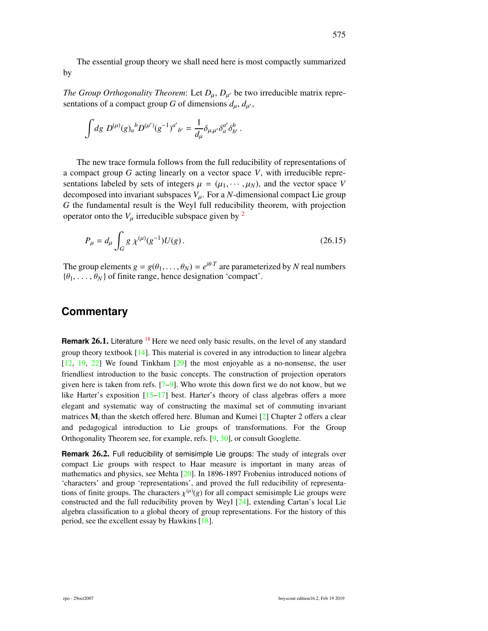The essential group theory we shall need here is most compactly summarized by

*The Group Orthogonality Theorem:* Let  $D_{\mu}$ ,  $D_{\mu'}$  be two irreducible matrix repre-<br>contations of a sommast group G of dimensions dual sentations of a compact group *G* of dimensions  $d_{\mu}$ ,  $d_{\mu'}$ ,

$$
\int dg \; D^{(\mu)}(g)_a{}^b D^{(\mu')}(g^{-1})^{a'}{}_{b'} = \frac{1}{d_\mu} \delta_{\mu,\mu'} \delta_a^{a'} \delta_{b'}^b \; .
$$

The new trace formula follows from the full reducibility of representations of a compact group *G* acting linearly on a vector space *V*, with irreducible representations labeled by sets of integers  $\mu = (\mu_1, \dots, \mu_N)$ , and the vector space *V* decomposed into invariant subspaces  $V_{\mu}$ . For a *N*-dimensional compact Lie group *G* the fundamental result is the Weyl full reducibility theorem, with projection operator onto the  $V_{\mu}$  irreducible subspace given by <sup>2</sup>

$$
P_{\mu} = d_{\mu} \int_{G} g \,\chi^{(\mu)}(g^{-1}) U(g). \tag{26.15}
$$

The group elements  $g = g(\theta_1, ..., \theta_N) = e^{i\theta \cdot T}$  are parameterized by *N* real numbers  $\{\theta_1, ..., \theta_N\}$  of finite range, hence designation 'compact'  $\{\theta_1, \ldots, \theta_N\}$  of finite range, hence designation 'compact'.

### **Commentary**

**Remark 26.1.** Literature <sup>18</sup> Here we need only basic results, on the level of any standard group theory textbook  $[14]$ . This material is covered in any introduction to linear algebra [12, 19, 22] We found Tinkham [29] the most enjoyable as a no-nonsense, the user friendliest introduction to the basic concepts. The construction of projection operators given here is taken from refs.  $[7-9]$ . Who wrote this down first we do not know, but we like Harter's exposition  $[15-17]$  best. Harter's theory of class algebras offers a more elegant and systematic way of constructing the maximal set of commuting invariant matrices  $M_i$  than the sketch offered here. Bluman and Kumei [2] Chapter 2 offers a clear and pedagogical introduction to Lie groups of transformations. For the Group Orthogonality Theorem see, for example, refs. [9, 30], or consult Googlette.

**Remark** 26.2. Full reducibility of semisimple Lie groups: The study of integrals over compact Lie groups with respect to Haar measure is important in many areas of mathematics and physics, see Mehta [20]. In 1896-1897 Frobenius introduced notions of 'characters' and group 'representations', and proved the full reducibility of representations of finite groups. The characters  $\chi^{(\mu)}(g)$  for all compact semisimple Lie groups were<br>constructed and the full reducibility proven by Weyl [24] extending Cartan's local Lie constructed and the full reducibility proven by Weyl [24], extending Cartan's local Lie algebra classification to a global theory of group representations. For the history of this period, see the excellent essay by Hawkins [18].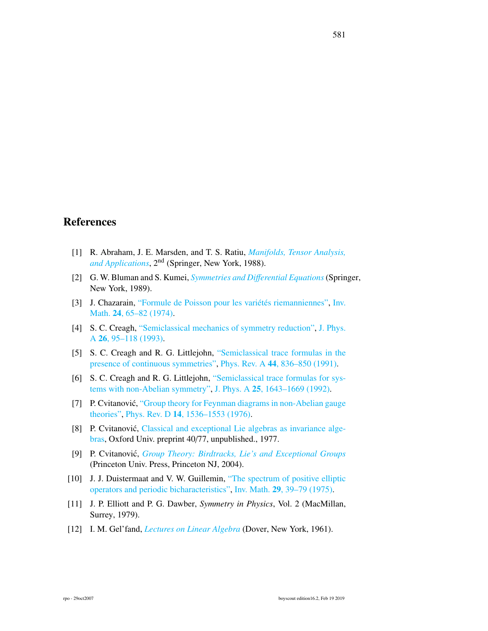# References

- [1] R. Abraham, J. E. Marsden, and T. S. Ratiu, *[Manifolds, Tensor Analysis,](http://dx.doi.org/10.1007/978-1-4612-1029-0) [and Applications](http://dx.doi.org/10.1007/978-1-4612-1029-0)*, 2nd (Springer, New York, 1988).
- [2] G. W. Bluman and S. Kumei, *[Symmetries and Di](http://dx.doi.org/10.1007/978-1-4757-4307-4)*ff*erential Equations*(Springer, New York, 1989).
- [3] J. Chazarain, ["Formule de Poisson pour les variétés riemanniennes",](http://dx.doi.org/10.1007/BF01418788) [Inv.](http://dx.doi.org/10.1007/BF01418788) Math. 24[, 65–82 \(1974\).](http://dx.doi.org/10.1007/BF01418788)
- [4] S. C. Creagh, ["Semiclassical mechanics of symmetry reduction",](http://dx.doi.org/10.1088/0305-4470/26/1/013) [J. Phys.](http://dx.doi.org/10.1088/0305-4470/26/1/013) A 26[, 95–118 \(1993\).](http://dx.doi.org/10.1088/0305-4470/26/1/013)
- [5] S. C. Creagh and R. G. Littlejohn, ["Semiclassical trace formulas in the](http://dx.doi.org/10.1103/physreva.44.836) [presence of continuous symmetries",](http://dx.doi.org/10.1103/physreva.44.836) Phys. Rev. A 44[, 836–850 \(1991\).](http://dx.doi.org/10.1103/physreva.44.836)
- [6] S. C. Creagh and R. G. Littlejohn, ["Semiclassical trace formulas for sys](http://dx.doi.org/10.1088/0305-4470/25/6/021)[tems with non-Abelian symmetry",](http://dx.doi.org/10.1088/0305-4470/25/6/021) J. Phys. A 25[, 1643–1669 \(1992\).](http://dx.doi.org/10.1088/0305-4470/25/6/021)
- [7] P. Cvitanović, ["Group theory for Feynman diagrams in non-Abelian gauge](http://dx.doi.org/10.1103/PhysRevD.14.1536) [theories",](http://dx.doi.org/10.1103/PhysRevD.14.1536) Phys. Rev. D 14[, 1536–1553 \(1976\).](http://dx.doi.org/10.1103/PhysRevD.14.1536)
- [8] P. Cvitanović, [Classical and exceptional Lie algebras as invariance alge](http://birdtracks.eu/refs/OxfordPrepr.pdf)[bras,](http://birdtracks.eu/refs/OxfordPrepr.pdf) Oxford Univ. preprint 40/77, unpublished., 1977.
- [9] P. Cvitanovic,´ *[Group Theory: Birdtracks, Lie's and Exceptional Groups](https://press.princeton.edu/titles/8839.html)* (Princeton Univ. Press, Princeton NJ, 2004).
- [10] J. J. Duistermaat and V. W. Guillemin, ["The spectrum of positive elliptic](http://dx.doi.org/10.1007/BF01405172) [operators and periodic bicharacteristics",](http://dx.doi.org/10.1007/BF01405172) Inv. Math. 29[, 39–79 \(1975\).](http://dx.doi.org/10.1007/BF01405172)
- [11] J. P. Elliott and P. G. Dawber, *Symmetry in Physics*, Vol. 2 (MacMillan, Surrey, 1979).
- [12] I. M. Gel'fand, *[Lectures on Linear Algebra](http://books.google.com/books?vid=ISBN0486660826)* (Dover, New York, 1961).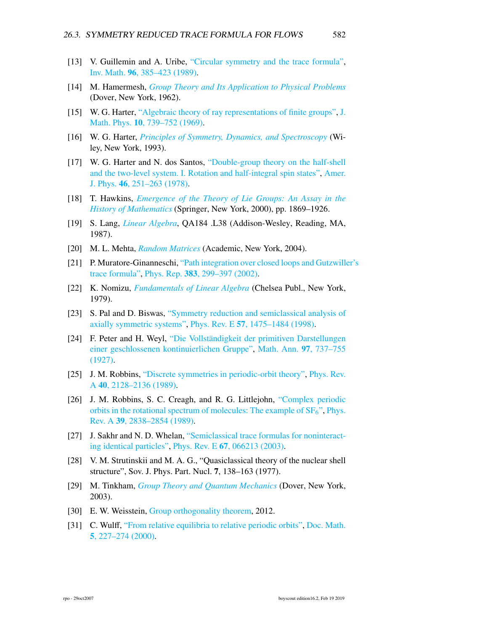- [13] V. Guillemin and A. Uribe, ["Circular symmetry and the trace formula",](http://dx.doi.org/10.1007/bf01393968) Inv. Math. 96[, 385–423 \(1989\).](http://dx.doi.org/10.1007/bf01393968)
- [14] M. Hamermesh, *[Group Theory and Its Application to Physical Problems](http://dx.doi.org/10.1119/1.1941790)* (Dover, New York, 1962).
- [15] W. G. Harter, ["Algebraic theory of ray representations of finite groups",](http://dx.doi.org/10.1063/1.1664901) [J.](http://dx.doi.org/10.1063/1.1664901) Math. Phys. 10[, 739–752 \(1969\).](http://dx.doi.org/10.1063/1.1664901)
- [16] W. G. Harter, *[Principles of Symmetry, Dynamics, and Spectroscopy](http://www.uark.edu/ua/modphys/markup/PSDS_Info.html)* (Wiley, New York, 1993).
- [17] W. G. Harter and N. dos Santos, ["Double-group theory on the half-shell](http://dx.doi.org/10.1119/1.11134) [and the two-level system. I. Rotation and half-integral spin states",](http://dx.doi.org/10.1119/1.11134) [Amer.](http://dx.doi.org/10.1119/1.11134) J. Phys. 46[, 251–263 \(1978\).](http://dx.doi.org/10.1119/1.11134)
- [18] T. Hawkins, *[Emergence of the Theory of Lie Groups: An Assay in the](http://books.google.com/books?vid=ISBN978-1-4612-7042-3) [History of Mathematics](http://books.google.com/books?vid=ISBN978-1-4612-7042-3)* (Springer, New York, 2000), pp. 1869–1926.
- [19] S. Lang, *[Linear Algebra](http://dx.doi.org/10.1007/978-1-4757-1949-9)*, QA184 .L38 (Addison-Wesley, Reading, MA, 1987).
- [20] M. L. Mehta, *[Random Matrices](http://books.google.com/books?vid=ISBN9780080474113)* (Academic, New York, 2004).
- [21] P. Muratore-Ginanneschi, ["Path integration over closed loops and Gutzwille](http://dx.doi.org/10.1016/S0370-1573(03)00212-6)r's [trace formula",](http://dx.doi.org/10.1016/S0370-1573(03)00212-6) Phys. Rep. 383[, 299–397 \(2002\).](http://dx.doi.org/10.1016/S0370-1573(03)00212-6)
- [22] K. Nomizu, *[Fundamentals of Linear Algebra](http://books.google.com/books?vid=ISBN9780828402767)* (Chelsea Publ., New York, 1979).
- [23] S. Pal and D. Biswas, ["Symmetry reduction and semiclassical analysis of](http://dx.doi.org/10.1103/physreve.57.1475) [axially symmetric systems",](http://dx.doi.org/10.1103/physreve.57.1475) Phys. Rev. E 57[, 1475–1484 \(1998\).](http://dx.doi.org/10.1103/physreve.57.1475)
- [24] F. Peter and H. Weyl, ["Die Vollständigkeit der primitiven Darstellungen](http://dx.doi.org/10.1007/BF01447892) [einer geschlossenen kontinuierlichen Gruppe",](http://dx.doi.org/10.1007/BF01447892) [Math. Ann.](http://dx.doi.org/10.1007/BF01447892) 97, 737–755 [\(1927\).](http://dx.doi.org/10.1007/BF01447892)
- [25] J. M. Robbins, ["Discrete symmetries in periodic-orbit theory",](http://dx.doi.org/10.1103/PhysRevA.40.2128) [Phys. Rev.](http://dx.doi.org/10.1103/PhysRevA.40.2128) A 40[, 2128–2136 \(1989\).](http://dx.doi.org/10.1103/PhysRevA.40.2128)
- [26] J. M. Robbins, S. C. Creagh, and R. G. Littlejohn, ["Complex periodic](http://dx.doi.org/10.1103/PhysRevA.39.2838) orbits in the rotational spectrum of molecules: The example of  $SF<sub>6</sub>$ ", [Phys.](http://dx.doi.org/10.1103/PhysRevA.39.2838) Rev. A 39[, 2838–2854 \(1989\).](http://dx.doi.org/10.1103/PhysRevA.39.2838)
- [27] J. Sakhr and N. D. Whelan, ["Semiclassical trace formulas for noninteract](http://dx.doi.org/10.1103/physreve.67.066213)[ing identical particles",](http://dx.doi.org/10.1103/physreve.67.066213) Phys. Rev. E 67[, 066213 \(2003\).](http://dx.doi.org/10.1103/physreve.67.066213)
- [28] V. M. Strutinskii and M. A. G., "Quasiclassical theory of the nuclear shell structure", Sov. J. Phys. Part. Nucl. 7, 138–163 (1977).
- [29] M. Tinkham, *[Group Theory and Quantum Mechanics](http://dx.doi.org/10.1016/c2013-0-01646-5)* (Dover, New York, 2003).
- [30] E. W. Weisstein, [Group orthogonality theorem,](http://mathworld.wolfram.com/GroupOrthogonalityTheorem.html) 2012.
- [31] C. Wulff, ["From relative equilibria to relative periodic orbits",](http://emis.ams.org/journals/DMJDMV/vol-05/09.pdf) [Doc. Math.](http://emis.ams.org/journals/DMJDMV/vol-05/09.pdf) 5[, 227–274 \(2000\).](http://emis.ams.org/journals/DMJDMV/vol-05/09.pdf)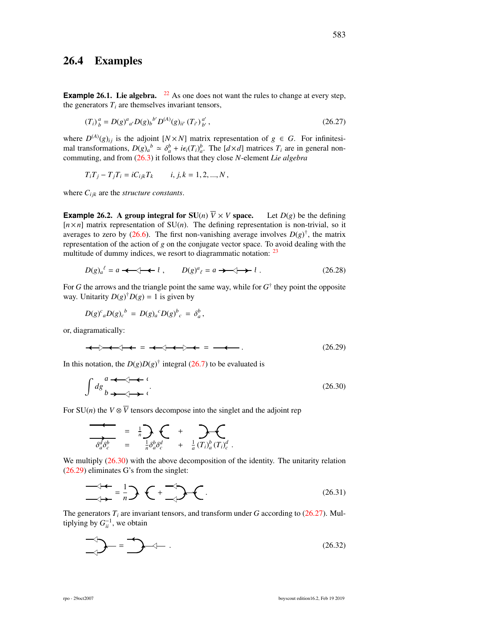## 26.4 Examples

**Example 26.1.** Lie algebra.  $22$  As one does not want the rules to change at every step, the generators  $T_i$  are themselves invariant tensors,

$$
(T_i)^a_b = D(g)^a{}_{a'} D(g)_{b}{}^{b'} D^{(A)}(g)_{ii'} (T_{i'})^{a'}_{b'},
$$
\n(26.27)

where  $D^{(A)}(g)_{ij}$  is the adjoint  $[N \times N]$  matrix representation of  $g \in G$ . For infinitesimal transformations,  $D(g)_a^b \approx \delta_a^b + i\epsilon_i(T_i)_a^b$ . The  $[d \times d]$  matrices  $T_i$  are in general non-<br>commuting and from (26.3) it follows that they close *N*-element *Lie algebra* commuting, and from  $(26.3)$  it follows that they close *N*-element *Lie algebra* 

$$
T_i T_j - T_j T_i = i C_{ijk} T_k \t i, j, k = 1, 2, ..., N,
$$

where  $C_{ijk}$  are the *structure constants*.

**Example 26.2.** A group integral for  $SU(n)$   $\overline{V} \times V$  space. Let  $D(g)$  be the defining  $[n \times n]$  matrix representation of  $SU(n)$ . The defining representation is non-trivial, so it averages to zero by (26.6). The first non-vanishing average involves  $D(g)^\dagger$ , the matrix representation of the action of *g* on the conjugate vector space. To avoid dealing with the multitude of dummy indices, we resort to diagrammatic notation: <sup>23</sup>

$$
D(g)_a^{\ell} = a \iff \ell, \qquad D(g)^a_{\ell} = a \iff \ell. \tag{26.28}
$$

For *G* the arrows and the triangle point the same way, while for  $G^{\dagger}$  they point the opposite way. Unitarity  $D(g)^{\dagger} D(g) = 1$  is given by

 $D(g)^c{}_a D(g)_c{}^b = D(g)_a{}^c D(g)^b{}_c = \delta_a^b$ ,

or, diagramatically:

 = = . (26.29)

In this notation, the  $D(g)D(g)^\dagger$  integral (26.7) to be evaluated is

$$
\int dg \underset{b \to \infty}{\longrightarrow} \iota
$$
\n
$$
(26.30)
$$

For  $SU(n)$  the  $V \otimes \overline{V}$  tensors decompose into the singlet and the adjoint rep

$$
\overline{\overline{\partial^d_{a}\partial^b_{c}}} = \frac{1}{n} \sum_{\overline{a}} \overline{\partial^b_{a}\partial^c_{c}} + \sum_{\overline{a}} \overline{\partial^b_{a}(\overline{T}_i)^b_{a}} (\overline{T}_i)^d_{c}.
$$

We multiply  $(26.30)$  with the above decomposition of the identity. The unitarity relation (26.29) eliminates G's from the singlet:

$$
\frac{\partial}{\partial t} + \frac{\partial}{\partial t} = \frac{1}{n} \sum_{n=1}^{\infty} \left(1 + \frac{\partial}{\partial t}\right) \sum_{n=1}^{\infty} \left(1 + \frac{\partial}{\partial t}\right) \sum_{n=1}^{\infty} \left(1 + \frac{\partial}{\partial t}\right) \sum_{n=1}^{\infty} \left(1 + \frac{\partial}{\partial t}\right) \sum_{n=1}^{\infty} \left(1 + \frac{\partial}{\partial t}\right) \sum_{n=1}^{\infty} \left(1 + \frac{\partial}{\partial t}\right) \sum_{n=1}^{\infty} \left(1 + \frac{\partial}{\partial t}\right) \sum_{n=1}^{\infty} \left(1 + \frac{\partial}{\partial t}\right) \sum_{n=1}^{\infty} \left(1 + \frac{\partial}{\partial t}\right) \sum_{n=1}^{\infty} \left(1 + \frac{\partial}{\partial t}\right) \sum_{n=1}^{\infty} \left(1 + \frac{\partial}{\partial t}\right) \sum_{n=1}^{\infty} \left(1 + \frac{\partial}{\partial t}\right) \sum_{n=1}^{\infty} \left(1 + \frac{\partial}{\partial t}\right) \sum_{n=1}^{\infty} \left(1 + \frac{\partial}{\partial t}\right) \sum_{n=1}^{\infty} \left(1 + \frac{\partial}{\partial t}\right) \sum_{n=1}^{\infty} \left(1 + \frac{\partial}{\partial t}\right) \sum_{n=1}^{\infty} \left(1 + \frac{\partial}{\partial t}\right) \sum_{n=1}^{\infty} \left(1 + \frac{\partial}{\partial t}\right) \sum_{n=1}^{\infty} \left(1 + \frac{\partial}{\partial t}\right) \sum_{n=1}^{\infty} \left(1 + \frac{\partial}{\partial t}\right) \sum_{n=1}^{\infty} \left(1 + \frac{\partial}{\partial t}\right) \sum_{n=1}^{\infty} \left(1 + \frac{\partial}{\partial t}\right) \sum_{n=1}^{\infty} \left(1 + \frac{\partial}{\partial t}\right) \sum_{n=1}^{\infty} \left(1 + \frac{\partial}{\partial t}\right) \sum_{n=1}^{\infty} \left(1 + \frac{\partial}{\partial t}\right) \sum_{n=1}^{\infty} \left(1 + \frac{\partial}{\partial t}\right) \sum_{n=
$$

The generators *T<sup>i</sup>* are invariant tensors, and transform under *G* according to (26.27). Multiplying by  $G_{ii}^{-1}$ , we obtain

$$
\bigotimes_{\mathcal{A}} \mathcal{A} = \bigotimes_{\mathcal{A}} \mathcal{A} - \tag{26.32}
$$